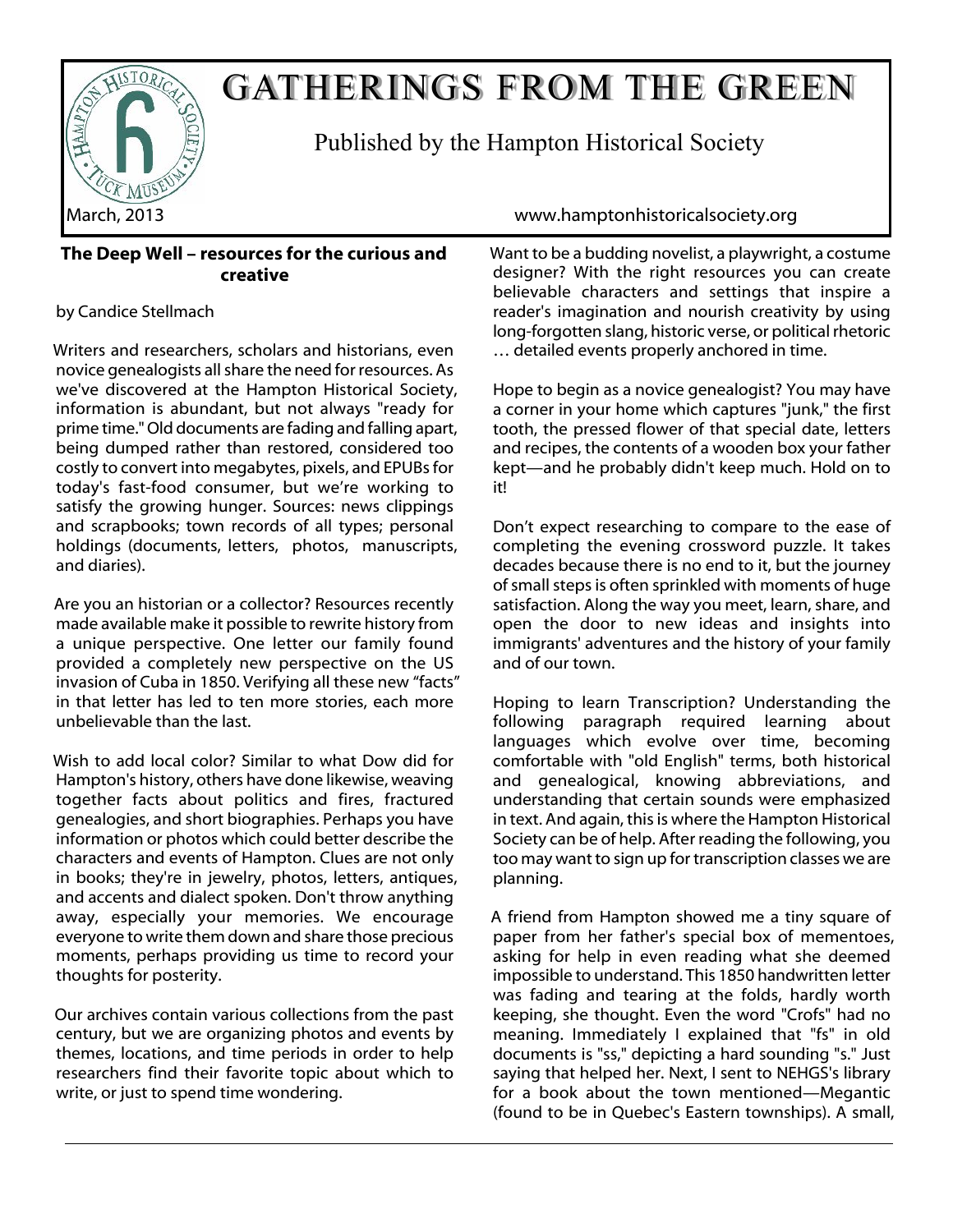

## GATHERINGS FROM THE GREEN

Published by the Hampton Historical Society

#### **The Deep Well – resources for the curious and creative**

#### by Candice Stellmach

Writers and researchers, scholars and historians, even novice genealogists all share the need for resources. As we've discovered at the Hampton Historical Society, information is abundant, but not always "ready for prime time." Old documents are fading and falling apart, being dumped rather than restored, considered too costly to convert into megabytes, pixels, and EPUBs for today's fast-food consumer, but we're working to satisfy the growing hunger. Sources: news clippings and scrapbooks; town records of all types; personal holdings (documents, letters, photos, manuscripts, and diaries).

Are you an historian or a collector? Resources recently made available make it possible to rewrite history from a unique perspective. One letter our family found provided a completely new perspective on the US invasion of Cuba in 1850. Verifying all these new "facts" in that letter has led to ten more stories, each more unbelievable than the last.

Wish to add local color? Similar to what Dow did for Hampton's history, others have done likewise, weaving together facts about politics and fires, fractured genealogies, and short biographies. Perhaps you have information or photos which could better describe the characters and events of Hampton. Clues are not only in books; they're in jewelry, photos, letters, antiques, and accents and dialect spoken. Don't throw anything away, especially your memories. We encourage everyone to write them down and share those precious moments, perhaps providing us time to record your thoughts for posterity.

Our archives contain various collections from the past century, but we are organizing photos and events by themes, locations, and time periods in order to help researchers find their favorite topic about which to write, or just to spend time wondering.

March, 2013 www.hamptonhistoricalsociety.org

Want to be a budding novelist, a playwright, a costume designer? With the right resources you can create believable characters and settings that inspire a reader's imagination and nourish creativity by using long-forgotten slang, historic verse, or political rhetoric … detailed events properly anchored in time.

Hope to begin as a novice genealogist? You may have a corner in your home which captures "junk," the first tooth, the pressed flower of that special date, letters and recipes, the contents of a wooden box your father kept—and he probably didn't keep much. Hold on to it!

Don't expect researching to compare to the ease of completing the evening crossword puzzle. It takes decades because there is no end to it, but the journey of small steps is often sprinkled with moments of huge satisfaction. Along the way you meet, learn, share, and open the door to new ideas and insights into immigrants' adventures and the history of your family and of our town.

Hoping to learn Transcription? Understanding the following paragraph required learning about languages which evolve over time, becoming comfortable with "old English" terms, both historical and genealogical, knowing abbreviations, and understanding that certain sounds were emphasized in text. And again, this is where the Hampton Historical Society can be of help. After reading the following, you too may want to sign up for transcription classes we are planning.

A friend from Hampton showed me a tiny square of paper from her father's special box of mementoes, asking for help in even reading what she deemed impossible to understand. This 1850 handwritten letter was fading and tearing at the folds, hardly worth keeping, she thought. Even the word "Crofs" had no meaning. Immediately I explained that "fs" in old documents is "ss," depicting a hard sounding "s." Just saying that helped her. Next, I sent to NEHGS's library for a book about the town mentioned—Megantic (found to be in Quebec's Eastern townships). A small,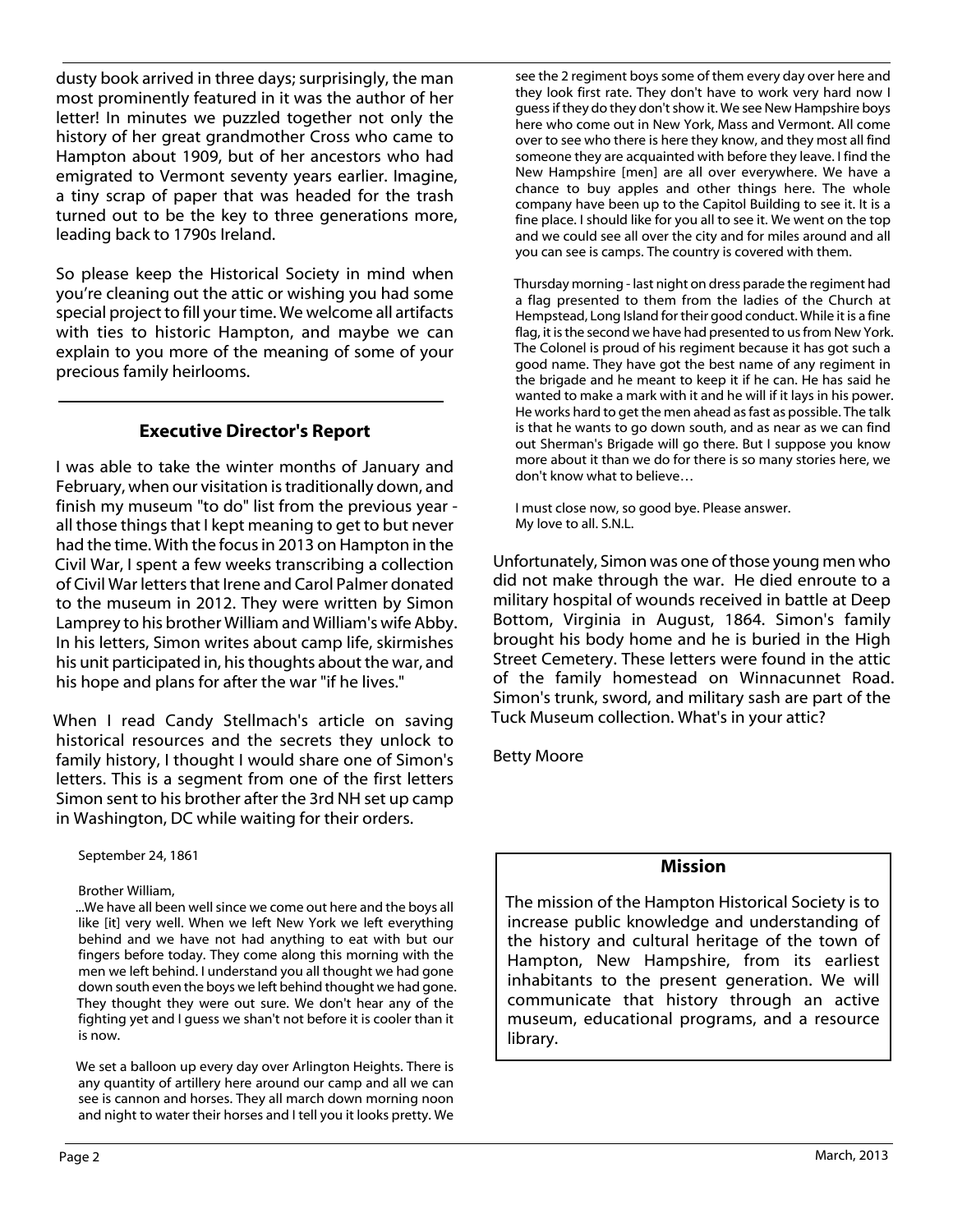dusty book arrived in three days; surprisingly, the man most prominently featured in it was the author of her letter! In minutes we puzzled together not only the history of her great grandmother Cross who came to Hampton about 1909, but of her ancestors who had emigrated to Vermont seventy years earlier. Imagine, a tiny scrap of paper that was headed for the trash turned out to be the key to three generations more, leading back to 1790s Ireland.

So please keep the Historical Society in mind when you're cleaning out the attic or wishing you had some special project to fill your time. We welcome all artifacts with ties to historic Hampton, and maybe we can explain to you more of the meaning of some of your precious family heirlooms.

#### **Executive Director's Report**

I was able to take the winter months of January and February, when our visitation is traditionally down, and finish my museum "to do" list from the previous year all those things that I kept meaning to get to but never had the time. With the focus in 2013 on Hampton in the Civil War, I spent a few weeks transcribing a collection of Civil War letters that Irene and Carol Palmer donated to the museum in 2012. They were written by Simon Lamprey to his brother William and William's wife Abby. In his letters, Simon writes about camp life, skirmishes his unit participated in, his thoughts about the war, and his hope and plans for after the war "if he lives."

When I read Candy Stellmach's article on saving historical resources and the secrets they unlock to family history, I thought I would share one of Simon's letters. This is a segment from one of the first letters Simon sent to his brother after the 3rd NH set up camp in Washington, DC while waiting for their orders.

September 24, 1861

Brother William,

...We have all been well since we come out here and the boys all like [it] very well. When we left New York we left everything behind and we have not had anything to eat with but our fingers before today. They come along this morning with the men we left behind. I understand you all thought we had gone down south even the boys we left behind thought we had gone. They thought they were out sure. We don't hear any of the fighting yet and I guess we shan't not before it is cooler than it is now.

We set a balloon up every day over Arlington Heights. There is any quantity of artillery here around our camp and all we can see is cannon and horses. They all march down morning noon and night to water their horses and I tell you it looks pretty. We see the 2 regiment boys some of them every day over here and they look first rate. They don't have to work very hard now I guess if they do they don't show it. We see New Hampshire boys here who come out in New York, Mass and Vermont. All come over to see who there is here they know, and they most all find someone they are acquainted with before they leave. I find the New Hampshire [men] are all over everywhere. We have a chance to buy apples and other things here. The whole company have been up to the Capitol Building to see it. It is a fine place. I should like for you all to see it. We went on the top and we could see all over the city and for miles around and all you can see is camps. The country is covered with them.

Thursday morning - last night on dress parade the regiment had a flag presented to them from the ladies of the Church at Hempstead, Long Island for their good conduct. While it is a fine flag, it is the second we have had presented to us from New York. The Colonel is proud of his regiment because it has got such a good name. They have got the best name of any regiment in the brigade and he meant to keep it if he can. He has said he wanted to make a mark with it and he will if it lays in his power. He works hard to get the men ahead as fast as possible. The talk is that he wants to go down south, and as near as we can find out Sherman's Brigade will go there. But I suppose you know more about it than we do for there is so many stories here, we don't know what to believe…

I must close now, so good bye. Please answer. My love to all. S.N.L.

Unfortunately, Simon was one of those young men who did not make through the war. He died enroute to a military hospital of wounds received in battle at Deep Bottom, Virginia in August, 1864. Simon's family brought his body home and he is buried in the High Street Cemetery. These letters were found in the attic of the family homestead on Winnacunnet Road. Simon's trunk, sword, and military sash are part of the Tuck Museum collection. What's in your attic?

Betty Moore

#### **Mission**

The mission of the Hampton Historical Society is to increase public knowledge and understanding of the history and cultural heritage of the town of Hampton, New Hampshire, from its earliest inhabitants to the present generation. We will communicate that history through an active museum, educational programs, and a resource library.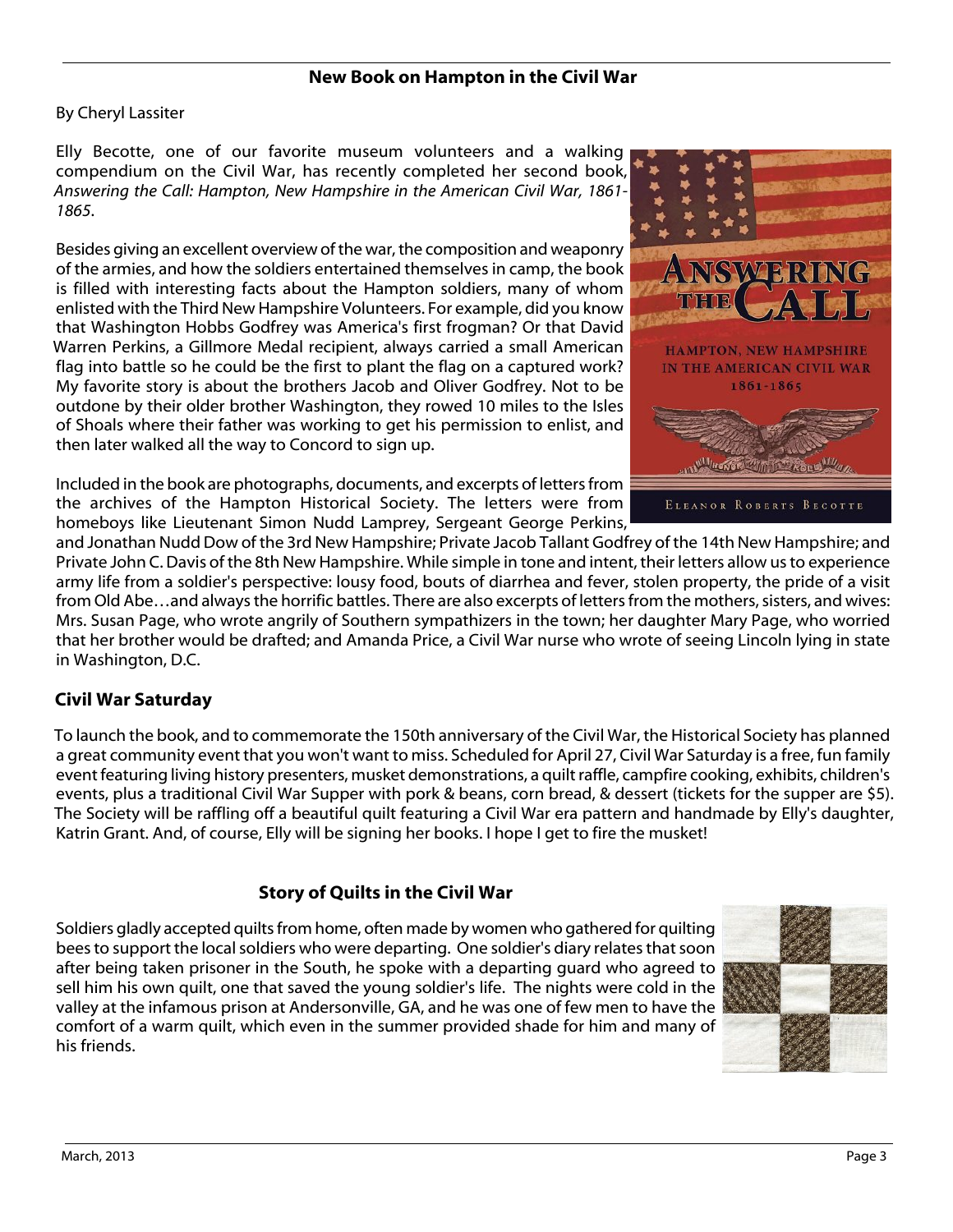#### **New Book on Hampton in the Civil War**

By Cheryl Lassiter

Elly Becotte, one of our favorite museum volunteers and a walking compendium on the Civil War, has recently completed her second book, *Answering the Call: Hampton, New Hampshire in the American Civil War, 1861- 1865*.

Besides giving an excellent overview of the war, the composition and weaponry of the armies, and how the soldiers entertained themselves in camp, the book is filled with interesting facts about the Hampton soldiers, many of whom enlisted with the Third New Hampshire Volunteers. For example, did you know that Washington Hobbs Godfrey was America's first frogman? Or that David Warren Perkins, a Gillmore Medal recipient, always carried a small American flag into battle so he could be the first to plant the flag on a captured work? My favorite story is about the brothers Jacob and Oliver Godfrey. Not to be outdone by their older brother Washington, they rowed 10 miles to the Isles of Shoals where their father was working to get his permission to enlist, and then later walked all the way to Concord to sign up.

Included in the book are photographs, documents, and excerpts of letters from the archives of the Hampton Historical Society. The letters were from homeboys like Lieutenant Simon Nudd Lamprey, Sergeant George Perkins,



and Jonathan Nudd Dow of the 3rd New Hampshire; Private Jacob Tallant Godfrey of the 14th New Hampshire; and Private John C. Davis of the 8th New Hampshire. While simple in tone and intent, their letters allow us to experience army life from a soldier's perspective: lousy food, bouts of diarrhea and fever, stolen property, the pride of a visit from Old Abe…and always the horrific battles. There are also excerpts of letters from the mothers, sisters, and wives: Mrs. Susan Page, who wrote angrily of Southern sympathizers in the town; her daughter Mary Page, who worried that her brother would be drafted; and Amanda Price, a Civil War nurse who wrote of seeing Lincoln lying in state in Washington, D.C.

#### **Civil War Saturday**

To launch the book, and to commemorate the 150th anniversary of the Civil War, the Historical Society has planned a great community event that you won't want to miss. Scheduled for April 27, Civil War Saturday is a free, fun family event featuring living history presenters, musket demonstrations, a quilt raffle, campfire cooking, exhibits, children's events, plus a traditional Civil War Supper with pork & beans, corn bread, & dessert (tickets for the supper are \$5). The Society will be raffling off a beautiful quilt featuring a Civil War era pattern and handmade by Elly's daughter, Katrin Grant. And, of course, Elly will be signing her books. I hope I get to fire the musket!

#### **Story of Quilts in the Civil War**

Soldiers gladly accepted quilts from home, often made by women who gathered for quilting bees to support the local soldiers who were departing. One soldier's diary relates that soon after being taken prisoner in the South, he spoke with a departing guard who agreed to sell him his own quilt, one that saved the young soldier's life. The nights were cold in the valley at the infamous prison at Andersonville, GA, and he was one of few men to have the comfort of a warm quilt, which even in the summer provided shade for him and many of his friends.

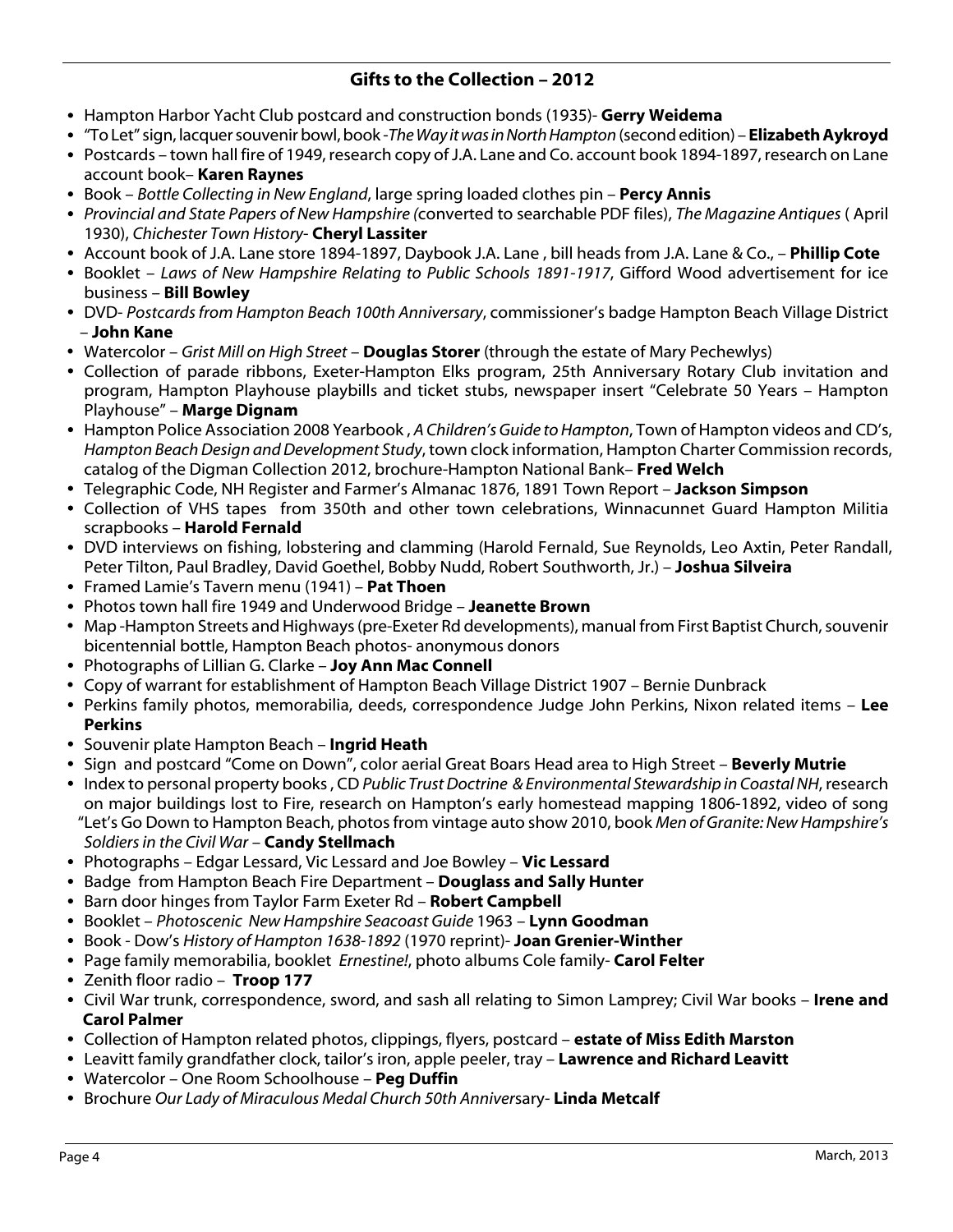#### **Gifts to the Collection – 2012**

- Hampton Harbor Yacht Club postcard and construction bonds (1935)- **Gerry Weidema**
- "To Let" sign, lacquer souvenir bowl, book -*The Way it was in North Hampton* (second edition) **Elizabeth Aykroyd**
- Postcards town hall fire of 1949, research copy of J.A. Lane and Co. account book 1894-1897, research on Lane account book– **Karen Raynes**
- Book *Bottle Collecting in New England*, large spring loaded clothes pin **Percy Annis**
- *Provincial and State Papers of New Hampshire (*converted to searchable PDF files), *The Magazine Antiques* ( April 1930), *Chichester Town History*- **Cheryl Lassiter**
- Account book of J.A. Lane store 1894-1897, Daybook J.A. Lane , bill heads from J.A. Lane & Co., **Phillip Cote**
- Booklet *Laws of New Hampshire Relating to Public Schools 1891-1917*, Gifford Wood advertisement for ice business – **Bill Bowley**
- DVD- *Postcards from Hampton Beach 100th Anniversary*, commissioner's badge Hampton Beach Village District – **John Kane**
- ü Watercolor *Grist Mill on High Street* **Douglas Storer** (through the estate of Mary Pechewlys)
- Collection of parade ribbons, Exeter-Hampton Elks program, 25th Anniversary Rotary Club invitation and program, Hampton Playhouse playbills and ticket stubs, newspaper insert "Celebrate 50 Years – Hampton Playhouse" – **Marge Dignam**
- Hampton Police Association 2008 Yearbook , *A Children's Guide to Hampton*, Town of Hampton videos and CD's, *Hampton Beach Design and Development Study*, town clock information, Hampton Charter Commission records, catalog of the Digman Collection 2012, brochure-Hampton National Bank– **Fred Welch**
- Telegraphic Code, NH Register and Farmer's Almanac 1876, 1891 Town Report **Jackson Simpson**
- Collection of VHS tapes from 350th and other town celebrations, Winnacunnet Guard Hampton Militia scrapbooks – **Harold Fernald**
- DVD interviews on fishing, lobstering and clamming (Harold Fernald, Sue Reynolds, Leo Axtin, Peter Randall, Peter Tilton, Paul Bradley, David Goethel, Bobby Nudd, Robert Southworth, Jr.) – **Joshua Silveira**
- Framed Lamie's Tavern menu (1941) **Pat Thoen**
- Photos town hall fire 1949 and Underwood Bridge **Jeanette Brown**
- ü Map -Hampton Streets and Highways (pre-Exeter Rd developments), manual from First Baptist Church, souvenir bicentennial bottle, Hampton Beach photos- anonymous donors
- Photographs of Lillian G. Clarke **Joy Ann Mac Connell**
- Copy of warrant for establishment of Hampton Beach Village District 1907 Bernie Dunbrack
- Perkins family photos, memorabilia, deeds, correspondence Judge John Perkins, Nixon related items **Lee Perkins**
- **Souvenir plate Hampton Beach Ingrid Heath**
- Sign and postcard "Come on Down", color aerial Great Boars Head area to High Street **Beverly Mutrie**
- Index to personal property books , CD *Public Trust Doctrine & Environmental Stewardship in Coastal NH*, research on major buildings lost to Fire, research on Hampton's early homestead mapping 1806-1892, video of song "Let's Go Down to Hampton Beach, photos from vintage auto show 2010, book *Men of Granite: New Hampshire's Soldiers in the Civil War* – **Candy Stellmach**
- Photographs Edgar Lessard, Vic Lessard and Joe Bowley **Vic Lessard**
- Badge from Hampton Beach Fire Department **Douglass and Sally Hunter**
- Barn door hinges from Taylor Farm Exeter Rd **Robert Campbell**
- Booklet *Photoscenic New Hampshire Seacoast Guide* 1963 **Lynn Goodman**
- Book Dow's *History of Hampton 1638-1892* (1970 reprint)- **Joan Grenier-Winther**
- Page family memorabilia, booklet *Ernestine!*, photo albums Cole family- **Carol Felter**
- Zenith floor radio **Troop 177**
- Civil War trunk, correspondence, sword, and sash all relating to Simon Lamprey; Civil War books – **Irene and Carol Palmer**
- Collection of Hampton related photos, clippings, flyers, postcard **estate of Miss Edith Marston**
- Leavitt family grandfather clock, tailor's iron, apple peeler, tray **Lawrence and Richard Leavitt**
- Watercolor One Room Schoolhouse **Peg Duffin**
- Brochure *Our Lady of Miraculous Medal Church 50th Anniver*sary- **Linda Metcalf**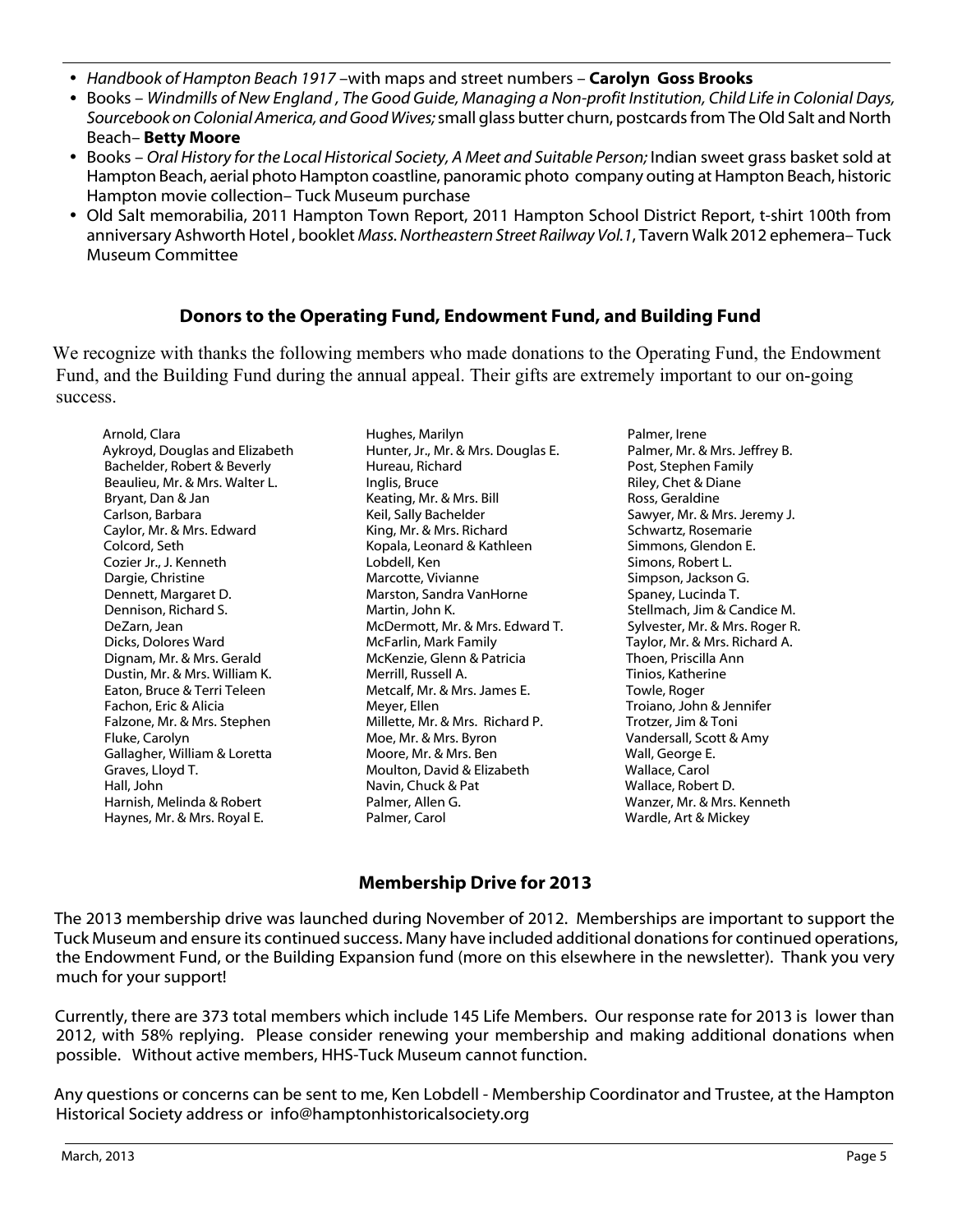- ü *Handbook of Hampton Beach 1917* –with maps and street numbers **Carolyn Goss Brooks**
- Books *Windmills of New England , The Good Guide, Managing a Non-profit Institution, Child Life in Colonial Days, Sourcebook on Colonial America, and Good Wives;* small glass butter churn, postcards from The Old Salt and North Beach*–* **Betty Moore**
- ü Books *Oral History for the Local Historical Society, A Meet and Suitable Person;* Indian sweet grass basket sold at Hampton Beach, aerial photo Hampton coastline, panoramic photo company outing at Hampton Beach, historic Hampton movie collection– Tuck Museum purchase
- Old Salt memorabilia, 2011 Hampton Town Report, 2011 Hampton School District Report, t-shirt 100th from anniversary Ashworth Hotel , booklet *Mass. Northeastern Street Railway Vol.1*, Tavern Walk 2012 ephemera– Tuck Museum Committee

#### **Donors to the Operating Fund, Endowment Fund, and Building Fund**

We recognize with thanks the following members who made donations to the Operating Fund, the Endowment Fund, and the Building Fund during the annual appeal. Their gifts are extremely important to our on-going success.

Arnold, Clara Aykroyd, Douglas and Elizabeth Bachelder, Robert & Beverly Beaulieu, Mr. & Mrs. Walter L. Bryant, Dan & Jan Carlson, Barbara Caylor, Mr. & Mrs. Edward Colcord, Seth Cozier Jr., J. Kenneth Dargie, Christine Dennett, Margaret D. Dennison, Richard S. DeZarn, Jean Dicks, Dolores Ward Dignam, Mr. & Mrs. Gerald Dustin, Mr. & Mrs. William K. Eaton, Bruce & Terri Teleen Fachon, Eric & Alicia Falzone, Mr. & Mrs. Stephen Fluke, Carolyn Gallagher, William & Loretta Graves, Lloyd T. Hall, John Harnish, Melinda & Robert Haynes, Mr. & Mrs. Royal E.

Hughes, Marilyn Hunter, Jr., Mr. & Mrs. Douglas E. Hureau, Richard Inglis, Bruce Keating, Mr. & Mrs. Bill Keil, Sally Bachelder King, Mr. & Mrs. Richard Kopala, Leonard & Kathleen Lobdell, Ken Marcotte, Vivianne Marston, Sandra VanHorne Martin, John K. McDermott, Mr. & Mrs. Edward T. McFarlin, Mark Family McKenzie, Glenn & Patricia Merrill, Russell A. Metcalf, Mr. & Mrs. James E. Meyer, Ellen Millette, Mr. & Mrs. Richard P. Moe, Mr. & Mrs. Byron Moore, Mr. & Mrs. Ben Moulton, David & Elizabeth Navin, Chuck & Pat Palmer, Allen G. Palmer, Carol

Palmer, Irene Palmer, Mr. & Mrs. Jeffrey B. Post, Stephen Family Riley, Chet & Diane Ross, Geraldine Sawyer, Mr. & Mrs. Jeremy J. Schwartz, Rosemarie Simmons, Glendon E. Simons, Robert L. Simpson, Jackson G. Spaney, Lucinda T. Stellmach, Jim & Candice M. Sylvester, Mr. & Mrs. Roger R. Taylor, Mr. & Mrs. Richard A. Thoen, Priscilla Ann Tinios, Katherine Towle, Roger Troiano, John & Jennifer Trotzer, Jim & Toni Vandersall, Scott & Amy Wall, George E. Wallace, Carol Wallace, Robert D. Wanzer, Mr. & Mrs. Kenneth Wardle, Art & Mickey

#### **Membership Drive for 2013**

The 2013 membership drive was launched during November of 2012. Memberships are important to support the Tuck Museum and ensure its continued success. Many have included additional donations for continued operations, the Endowment Fund, or the Building Expansion fund (more on this elsewhere in the newsletter). Thank you very much for your support!

Currently, there are 373 total members which include 145 Life Members. Our response rate for 2013 is lower than 2012, with 58% replying. Please consider renewing your membership and making additional donations when possible. Without active members, HHS-Tuck Museum cannot function.

Any questions or concerns can be sent to me, Ken Lobdell - Membership Coordinator and Trustee, at the Hampton Historical Society address or info@hamptonhistoricalsociety.org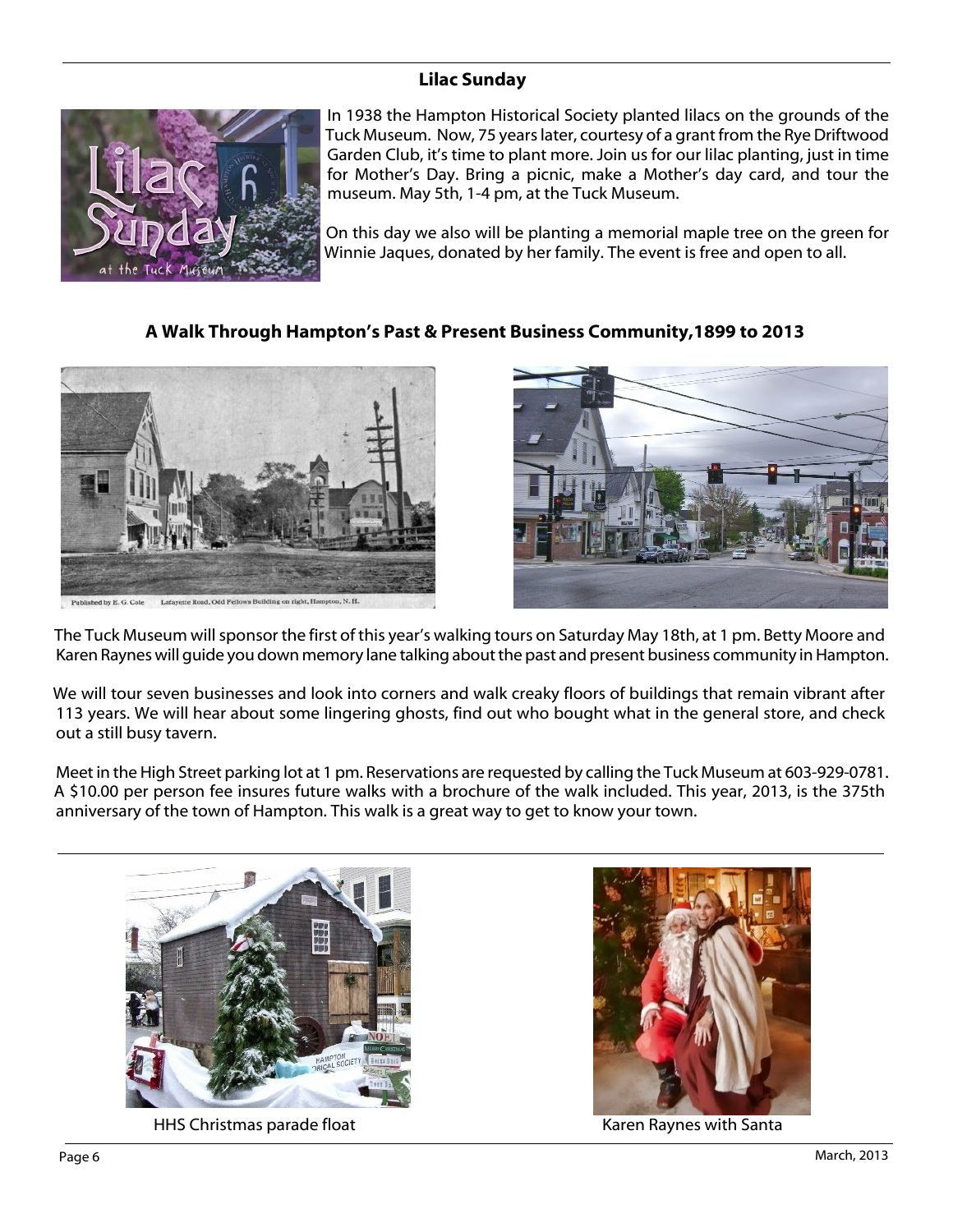### **Lilac Sunday**



In 1938 the Hampton Historical Society planted lilacs on the grounds of the Tuck Museum. Now, 75 years later, courtesy of a grant from the Rye Driftwood Garden Club, it's time to plant more. Join us for our lilac planting, just in time for Mother's Day. Bring a picnic, make a Mother's day card, and tour the museum. May 5th, 1-4 pm, at the Tuck Museum.

On this day we also will be planting a memorial maple tree on the green for Winnie Jaques, donated by her family. The event is free and open to all.

#### **A Walk Through Hampton's Past & Present Business Community,1899 to 2013**



Lafayette Road, Odd Fellows Building on right, Hamp



The Tuck Museum will sponsor the first of this year's walking tours on Saturday May 18th, at 1 pm. Betty Moore and Karen Raynes will guide you down memory lane talking about the past and present business community in Hampton.

We will tour seven businesses and look into corners and walk creaky floors of buildings that remain vibrant after 113 years. We will hear about some lingering ghosts, find out who bought what in the general store, and check out a still busy tavern.

Meet in the High Street parking lot at 1 pm. Reservations are requested by calling the Tuck Museum at 603-929-0781. A \$10.00 per person fee insures future walks with a brochure of the walk included. This year, 2013, is the 375th anniversary of the town of Hampton. This walk is a great way to get to know your town.



HHS Christmas parade float Karen Raynes with Santa

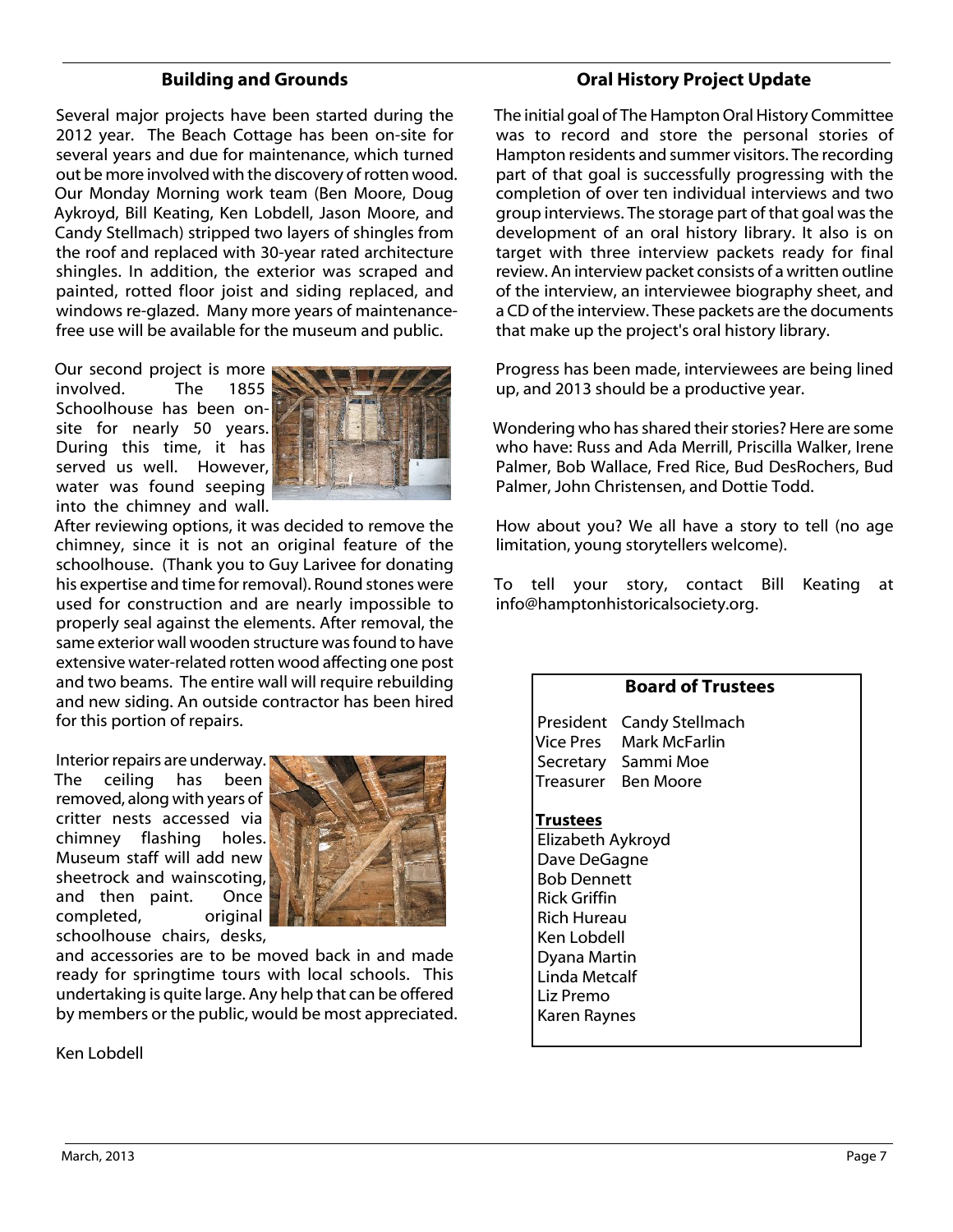#### **Building and Grounds**

Several major projects have been started during the 2012 year. The Beach Cottage has been on-site for several years and due for maintenance, which turned out be more involved with the discovery of rotten wood. Our Monday Morning work team (Ben Moore, Doug Aykroyd, Bill Keating, Ken Lobdell, Jason Moore, and Candy Stellmach) stripped two layers of shingles from the roof and replaced with 30-year rated architecture shingles. In addition, the exterior was scraped and painted, rotted floor joist and siding replaced, and windows re-glazed. Many more years of maintenancefree use will be available for the museum and public.

Our second project is more<br>involved. The 1855 involved. The Schoolhouse has been onsite for nearly 50 years. During this time, it has served us well. However, water was found seeping into the chimney and wall.



After reviewing options, it was decided to remove the chimney, since it is not an original feature of the schoolhouse. (Thank you to Guy Larivee for donating his expertise and time for removal). Round stones were used for construction and are nearly impossible to properly seal against the elements. After removal, the same exterior wall wooden structure was found to have extensive water-related rotten wood affecting one post and two beams. The entire wall will require rebuilding and new siding. An outside contractor has been hired for this portion of repairs.

Interior repairs are underway. The ceiling has been removed, along with years of critter nests accessed via chimney flashing holes. Museum staff will add new sheetrock and wainscoting, and then paint. Once completed, original schoolhouse chairs, desks,



and accessories are to be moved back in and made ready for springtime tours with local schools. This undertaking is quite large. Any help that can be offered by members or the public, would be most appreciated.

Ken Lobdell

#### **Oral History Project Update**

The initial goal of The Hampton Oral History Committee was to record and store the personal stories of Hampton residents and summer visitors. The recording part of that goal is successfully progressing with the completion of over ten individual interviews and two group interviews. The storage part of that goal was the development of an oral history library. It also is on target with three interview packets ready for final review. An interview packet consists of a written outline of the interview, an interviewee biography sheet, and a CD of the interview. These packets are the documents that make up the project's oral history library.

Progress has been made, interviewees are being lined up, and 2013 should be a productive year.

Wondering who has shared their stories? Here are some who have: Russ and Ada Merrill, Priscilla Walker, Irene Palmer, Bob Wallace, Fred Rice, Bud DesRochers, Bud Palmer, John Christensen, and Dottie Todd.

How about you? We all have a story to tell (no age limitation, young storytellers welcome).

To tell your story, contact Bill Keating at info@hamptonhistoricalsociety.org.

#### **Board of Trustees**

President Candy Stellmach Vice Pres Mark McFarlin Secretary Sammi Moe Treasurer Ben Moore

#### **Trustees**

Elizabeth Aykroyd Dave DeGagne Bob Dennett Rick Griffin Rich Hureau Ken Lobdell Dyana Martin Linda Metcalf Liz Premo Karen Raynes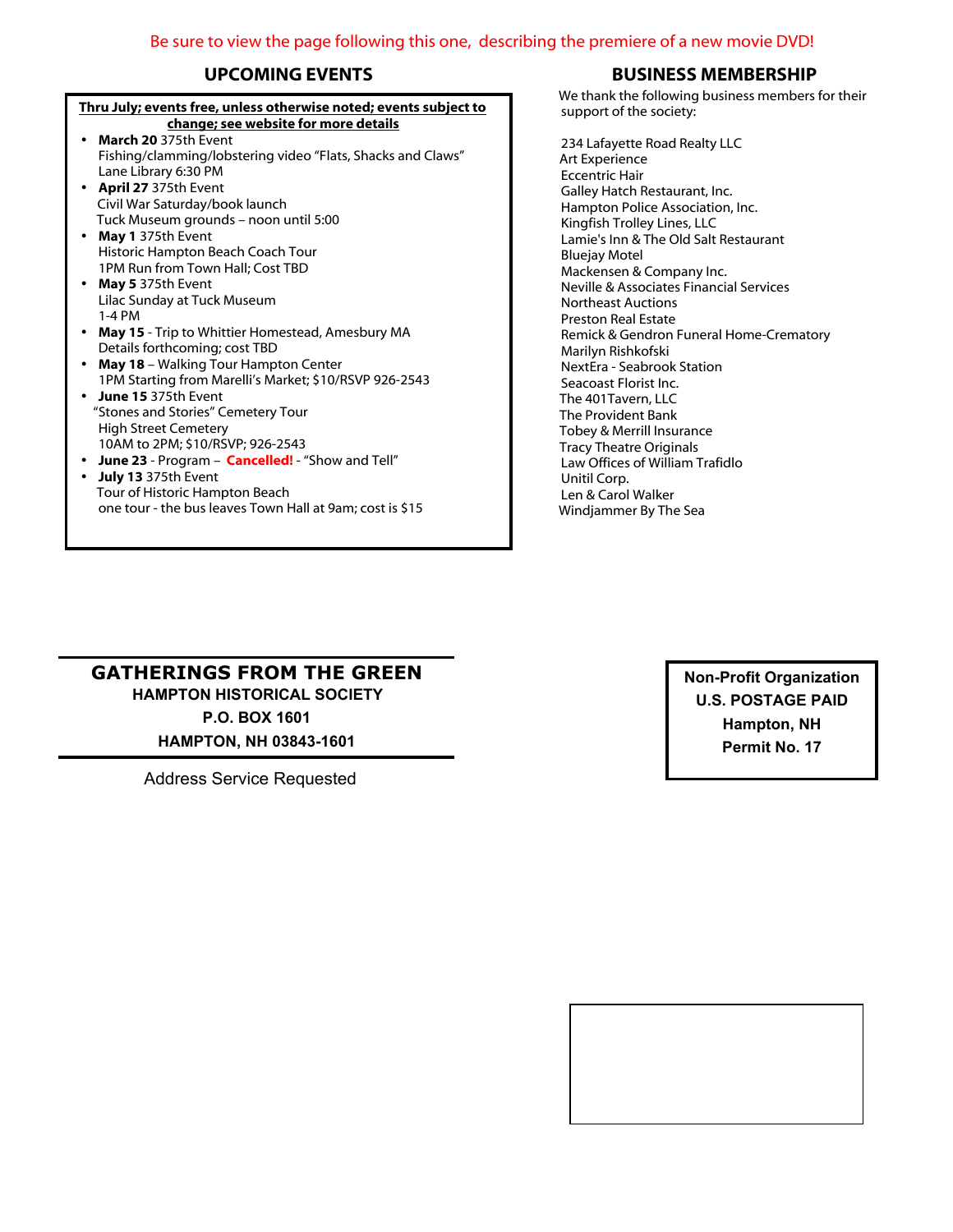#### **Thru July; events free, unless otherwise noted; events subject to change; see website for more details**

- ü **March 20** 375th Event Fishing/clamming/lobstering video "Flats, Shacks and Claws" Lane Library 6:30 PM
- ü **April 27** 375th Event Civil War Saturday/book launch Tuck Museum grounds – noon until 5:00
- ü **May 1** 375th Event Historic Hampton Beach Coach Tour 1PM Run from Town Hall; Cost TBD
- ü **May 5** 375th Event Lilac Sunday at Tuck Museum 1-4 PM
- ü **May 15** Trip to Whittier Homestead, Amesbury MA Details forthcoming; cost TBD
- ü **May 18** Walking Tour Hampton Center 1PM Starting from Marelli's Market; \$10/RSVP 926-2543
- **June 15** 375th Event "Stones and Stories" Cemetery Tour High Street Cemetery 10AM to 2PM; \$10/RSVP; 926-2543
- ü **June 23** Program – **Cancelled!** "Show and Tell"
- ü **July 13** 375th Event Tour of Historic Hampton Beach one tour - the bus leaves Town Hall at 9am; cost is \$15

#### **UPCOMING EVENTS BUSINESS MEMBERSHIP**

We thank the following business members for their support of the society:

234 Lafayette Road Realty LLC Art Experience Eccentric Hair Galley Hatch Restaurant, Inc. Hampton Police Association, Inc. Kingfish Trolley Lines, LLC Lamie's Inn & The Old Salt Restaurant Bluejay Motel Mackensen & Company Inc. Neville & Associates Financial Services Northeast Auctions Preston Real Estate Remick & Gendron Funeral Home-Crematory Marilyn Rishkofski NextEra - Seabrook Station Seacoast Florist Inc. The 401Tavern, LLC The Provident Bank Tobey & Merrill Insurance Tracy Theatre Originals Law Offices of William Trafidlo Unitil Corp. Len & Carol Walker Windjammer By The Sea

#### **GATHERINGS FROM THE GREEN HAMPTON HISTORICAL SOCIETY P.O. BOX 1601**

**HAMPTON, NH 03843-1601**

Address Service Requested

**Non-Profit Organization U.S. POSTAGE PAID Hampton, NH Permit No. 17**